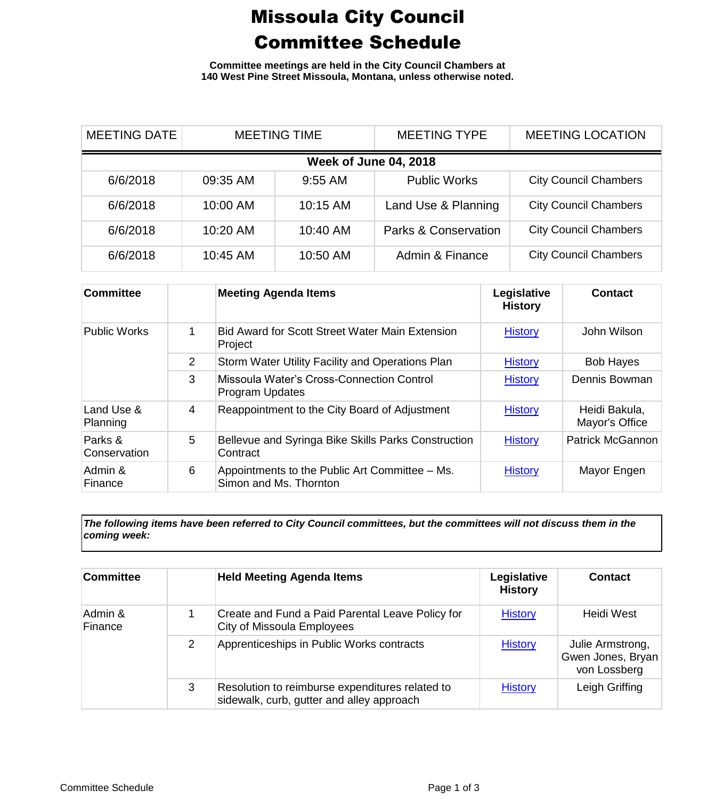## Missoula City Council Committee Schedule

**Committee meetings are held in the City Council Chambers at 140 West Pine Street Missoula, Montana, unless otherwise noted.**

| <b>MEETING DATE</b>          | <b>MEETING TIME</b> |           | <b>MEETING TYPE</b>             | <b>MEETING LOCATION</b>      |  |
|------------------------------|---------------------|-----------|---------------------------------|------------------------------|--|
| <b>Week of June 04, 2018</b> |                     |           |                                 |                              |  |
| 6/6/2018                     | 09:35 AM            | $9:55$ AM | <b>Public Works</b>             | <b>City Council Chambers</b> |  |
| 6/6/2018                     | 10:00 AM            | 10:15 AM  | Land Use & Planning             | <b>City Council Chambers</b> |  |
| 6/6/2018                     | 10:20 AM            | 10:40 AM  | <b>Parks &amp; Conservation</b> | <b>City Council Chambers</b> |  |
| 6/6/2018                     | 10:45 AM            | 10:50 AM  | Admin & Finance                 | <b>City Council Chambers</b> |  |

| <b>Committee</b>        |   | <b>Meeting Agenda Items</b>                                              | Legislative<br><b>History</b> | Contact                         |
|-------------------------|---|--------------------------------------------------------------------------|-------------------------------|---------------------------------|
| <b>Public Works</b>     |   | Bid Award for Scott Street Water Main Extension<br>Project               | <b>History</b>                | John Wilson                     |
|                         | 2 | Storm Water Utility Facility and Operations Plan                         | <b>History</b>                | <b>Bob Hayes</b>                |
|                         | 3 | Missoula Water's Cross-Connection Control<br>Program Updates             | <b>History</b>                | Dennis Bowman                   |
| Land Use &<br>Planning  | 4 | Reappointment to the City Board of Adjustment                            | <b>History</b>                | Heidi Bakula,<br>Mayor's Office |
| Parks &<br>Conservation | 5 | Bellevue and Syringa Bike Skills Parks Construction<br>Contract          | <b>History</b>                | <b>Patrick McGannon</b>         |
| Admin &<br>Finance      | 6 | Appointments to the Public Art Committee – Ms.<br>Simon and Ms. Thornton | <b>History</b>                | Mayor Engen                     |

*The following items have been referred to City Council committees, but the committees will not discuss them in the coming week:*

| Committee          |   | <b>Held Meeting Agenda Items</b>                                                             | Legislative<br><b>History</b> | <b>Contact</b>                                        |
|--------------------|---|----------------------------------------------------------------------------------------------|-------------------------------|-------------------------------------------------------|
| Admin &<br>Finance |   | Create and Fund a Paid Parental Leave Policy for<br>City of Missoula Employees               | <b>History</b>                | Heidi West                                            |
|                    | 2 | Apprenticeships in Public Works contracts                                                    | <b>History</b>                | Julie Armstrong,<br>Gwen Jones, Bryan<br>von Lossberg |
|                    | 3 | Resolution to reimburse expenditures related to<br>sidewalk, curb, gutter and alley approach | <b>History</b>                | Leigh Griffing                                        |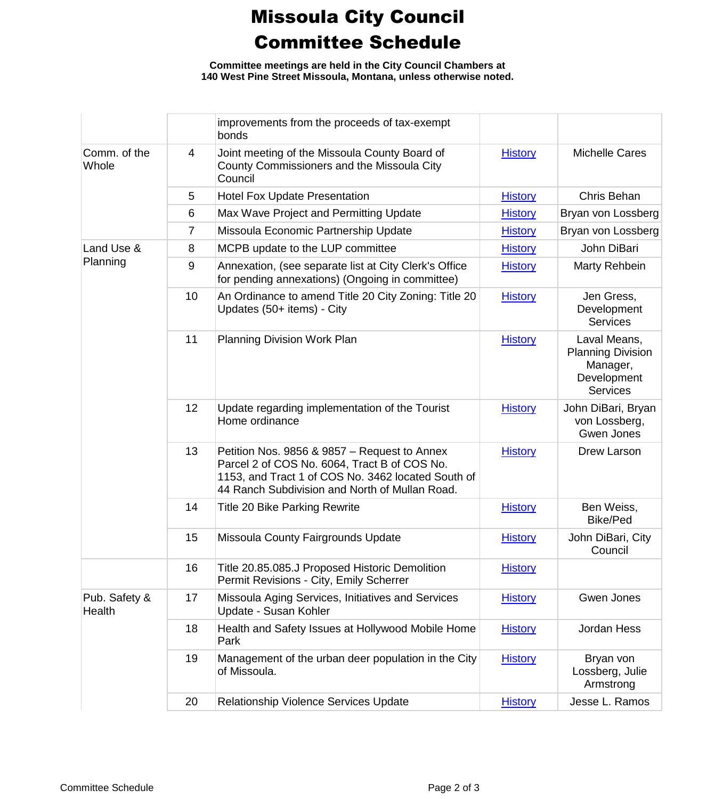## Missoula City Council Committee Schedule

**Committee meetings are held in the City Council Chambers at 140 West Pine Street Missoula, Montana, unless otherwise noted.**

|                         |                | improvements from the proceeds of tax-exempt<br>bonds                                                                                                                                                |                |                                                                                        |
|-------------------------|----------------|------------------------------------------------------------------------------------------------------------------------------------------------------------------------------------------------------|----------------|----------------------------------------------------------------------------------------|
| Comm. of the<br>Whole   | 4              | Joint meeting of the Missoula County Board of<br>County Commissioners and the Missoula City<br>Council                                                                                               | <b>History</b> | <b>Michelle Cares</b>                                                                  |
|                         | 5              | <b>Hotel Fox Update Presentation</b>                                                                                                                                                                 | <b>History</b> | Chris Behan                                                                            |
|                         | 6              | Max Wave Project and Permitting Update                                                                                                                                                               | <b>History</b> | Bryan von Lossberg                                                                     |
|                         | $\overline{7}$ | Missoula Economic Partnership Update                                                                                                                                                                 | <b>History</b> | Bryan von Lossberg                                                                     |
| Land Use &              | 8              | MCPB update to the LUP committee                                                                                                                                                                     | <b>History</b> | John DiBari                                                                            |
| Planning                | 9              | Annexation, (see separate list at City Clerk's Office<br>for pending annexations) (Ongoing in committee)                                                                                             | <b>History</b> | Marty Rehbein                                                                          |
|                         | 10             | An Ordinance to amend Title 20 City Zoning: Title 20<br>Updates (50+ items) - City                                                                                                                   | <b>History</b> | Jen Gress,<br>Development<br><b>Services</b>                                           |
|                         | 11             | <b>Planning Division Work Plan</b>                                                                                                                                                                   | <b>History</b> | Laval Means,<br><b>Planning Division</b><br>Manager,<br>Development<br><b>Services</b> |
|                         | 12             | Update regarding implementation of the Tourist<br>Home ordinance                                                                                                                                     | <b>History</b> | John DiBari, Bryan<br>von Lossberg,<br>Gwen Jones                                      |
|                         | 13             | Petition Nos. 9856 & 9857 - Request to Annex<br>Parcel 2 of COS No. 6064, Tract B of COS No.<br>1153, and Tract 1 of COS No. 3462 located South of<br>44 Ranch Subdivision and North of Mullan Road. | <b>History</b> | Drew Larson                                                                            |
|                         | 14             | Title 20 Bike Parking Rewrite                                                                                                                                                                        | <b>History</b> | Ben Weiss,<br><b>Bike/Ped</b>                                                          |
|                         | 15             | Missoula County Fairgrounds Update                                                                                                                                                                   | <b>History</b> | John DiBari, City<br>Council                                                           |
|                         | 16             | Title 20.85.085.J Proposed Historic Demolition<br>Permit Revisions - City, Emily Scherrer                                                                                                            | <b>History</b> |                                                                                        |
| Pub. Safety &<br>Health | 17             | Missoula Aging Services, Initiatives and Services<br>Update - Susan Kohler                                                                                                                           | <b>History</b> | Gwen Jones                                                                             |
|                         | 18             | Health and Safety Issues at Hollywood Mobile Home<br>Park                                                                                                                                            | <b>History</b> | Jordan Hess                                                                            |
|                         | 19             | Management of the urban deer population in the City<br>of Missoula.                                                                                                                                  | <b>History</b> | Bryan von<br>Lossberg, Julie<br>Armstrong                                              |
|                         | 20             | Relationship Violence Services Update                                                                                                                                                                | <b>History</b> | Jesse L. Ramos                                                                         |